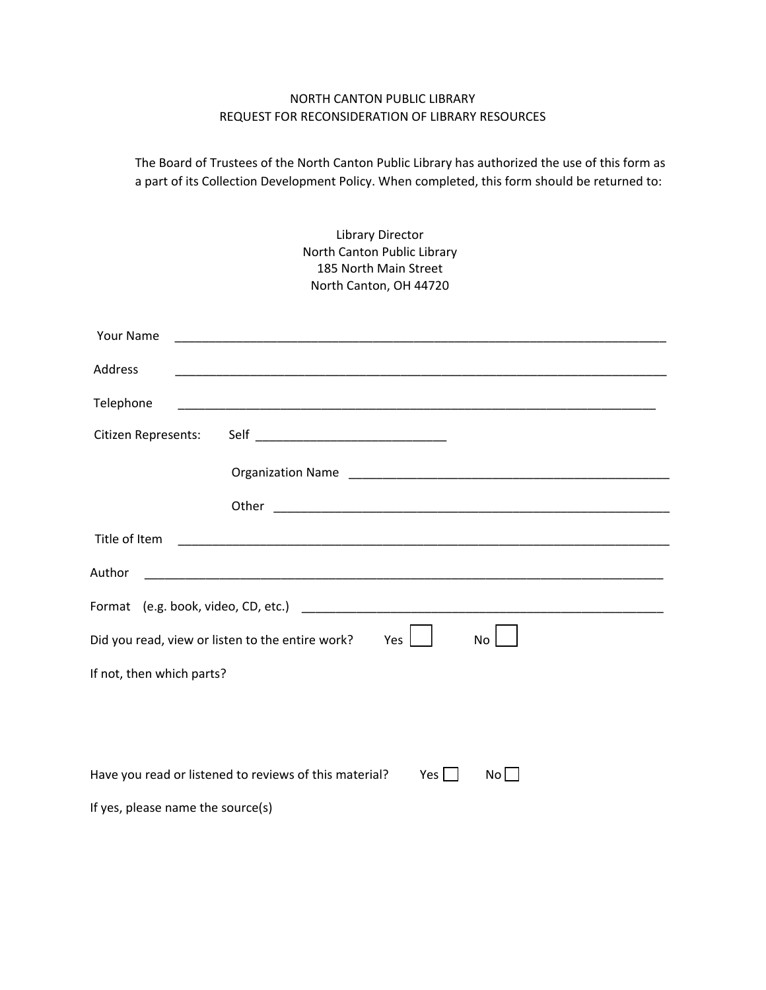## NORTH CANTON PUBLIC LIBRARY REQUEST FOR RECONSIDERATION OF LIBRARY RESOURCES

The Board of Trustees of the North Canton Public Library has authorized the use of this form as a part of its Collection Development Policy. When completed, this form should be returned to:

| <b>Library Director</b><br>North Canton Public Library<br>185 North Main Street<br>North Canton, OH 44720 |                                                                               |
|-----------------------------------------------------------------------------------------------------------|-------------------------------------------------------------------------------|
| <b>Your Name</b>                                                                                          |                                                                               |
| Address                                                                                                   | <u> 1989 - Johann Stoff, amerikansk politiker (d. 1989)</u>                   |
| Telephone                                                                                                 |                                                                               |
| Citizen Represents:                                                                                       |                                                                               |
|                                                                                                           |                                                                               |
|                                                                                                           | Other                                                                         |
| Title of Item                                                                                             |                                                                               |
| Author                                                                                                    |                                                                               |
|                                                                                                           |                                                                               |
|                                                                                                           | Did you read, view or listen to the entire work?<br>Yes<br>No                 |
| If not, then which parts?                                                                                 |                                                                               |
|                                                                                                           |                                                                               |
|                                                                                                           |                                                                               |
|                                                                                                           | Have you read or listened to reviews of this material?<br>Yes $\Box$<br>Nol I |
| If yes, please name the source(s)                                                                         |                                                                               |